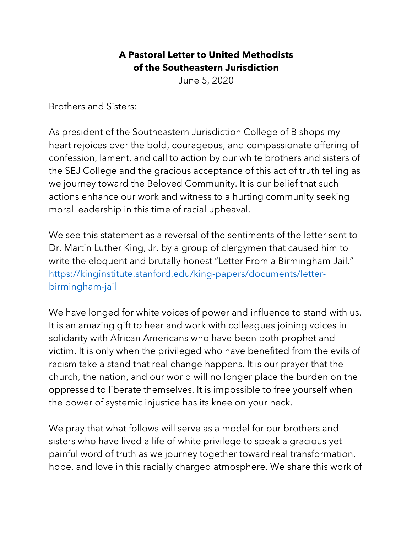## **A Pastoral Letter to United Methodists of the Southeastern Jurisdiction**

June 5, 2020

Brothers and Sisters:

As president of the Southeastern Jurisdiction College of Bishops my heart rejoices over the bold, courageous, and compassionate offering of confession, lament, and call to action by our white brothers and sisters of the SEJ College and the gracious acceptance of this act of truth telling as we journey toward the Beloved Community. It is our belief that such actions enhance our work and witness to a hurting community seeking moral leadership in this time of racial upheaval.

We see this statement as a reversal of the sentiments of the letter sent to Dr. Martin Luther King, Jr. by a group of clergymen that caused him to write the eloquent and brutally honest "Letter From a Birmingham Jail." https://kinginstitute.stanford.edu/king-papers/documents/letterbirmingham-jail

We have longed for white voices of power and influence to stand with us. It is an amazing gift to hear and work with colleagues joining voices in solidarity with African Americans who have been both prophet and victim. It is only when the privileged who have benefited from the evils of racism take a stand that real change happens. It is our prayer that the church, the nation, and our world will no longer place the burden on the oppressed to liberate themselves. It is impossible to free yourself when the power of systemic injustice has its knee on your neck.

We pray that what follows will serve as a model for our brothers and sisters who have lived a life of white privilege to speak a gracious yet painful word of truth as we journey together toward real transformation, hope, and love in this racially charged atmosphere. We share this work of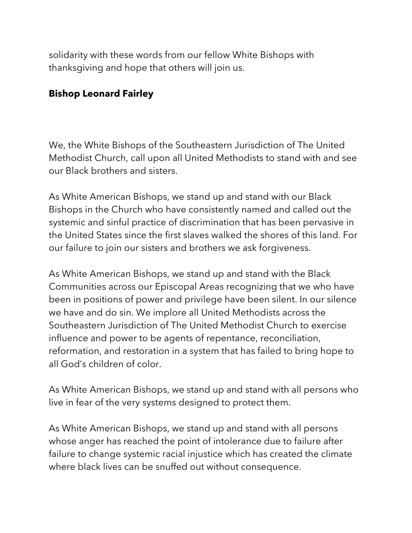solidarity with these words from our fellow White Bishops with thanksgiving and hope that others will join us.

## **Bishop Leonard Fairley**

We, the White Bishops of the Southeastern Jurisdiction of The United Methodist Church, call upon all United Methodists to stand with and see our Black brothers and sisters.

As White American Bishops, we stand up and stand with our Black Bishops in the Church who have consistently named and called out the systemic and sinful practice of discrimination that has been pervasive in the United States since the first slaves walked the shores of this land. For our failure to join our sisters and brothers we ask forgiveness.

As White American Bishops, we stand up and stand with the Black Communities across our Episcopal Areas recognizing that we who have been in positions of power and privilege have been silent. In our silence we have and do sin. We implore all United Methodists across the Southeastern Jurisdiction of The United Methodist Church to exercise influence and power to be agents of repentance, reconciliation, reformation, and restoration in a system that has failed to bring hope to all God's children of color.

As White American Bishops, we stand up and stand with all persons who live in fear of the very systems designed to protect them.

As White American Bishops, we stand up and stand with all persons whose anger has reached the point of intolerance due to failure after failure to change systemic racial injustice which has created the climate where black lives can be snuffed out without consequence.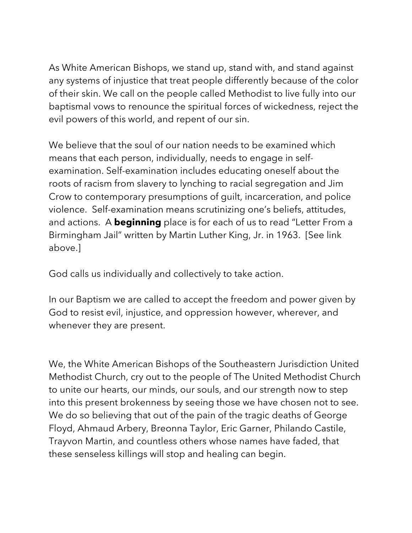As White American Bishops, we stand up, stand with, and stand against any systems of injustice that treat people differently because of the color of their skin. We call on the people called Methodist to live fully into our baptismal vows to renounce the spiritual forces of wickedness, reject the evil powers of this world, and repent of our sin.

We believe that the soul of our nation needs to be examined which means that each person, individually, needs to engage in selfexamination. Self-examination includes educating oneself about the roots of racism from slavery to lynching to racial segregation and Jim Crow to contemporary presumptions of guilt, incarceration, and police violence. Self-examination means scrutinizing one's beliefs, attitudes, and actions. A **beginning** place is for each of us to read "Letter From a Birmingham Jail" written by Martin Luther King, Jr. in 1963. [See link above.]

God calls us individually and collectively to take action.

In our Baptism we are called to accept the freedom and power given by God to resist evil, injustice, and oppression however, wherever, and whenever they are present.

We, the White American Bishops of the Southeastern Jurisdiction United Methodist Church, cry out to the people of The United Methodist Church to unite our hearts, our minds, our souls, and our strength now to step into this present brokenness by seeing those we have chosen not to see. We do so believing that out of the pain of the tragic deaths of George Floyd, Ahmaud Arbery, Breonna Taylor, Eric Garner, Philando Castile, Trayvon Martin, and countless others whose names have faded, that these senseless killings will stop and healing can begin.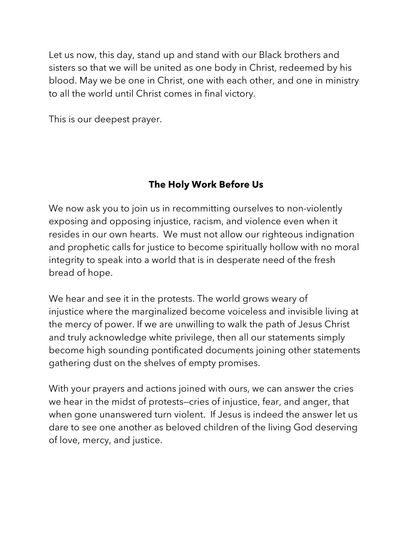Let us now, this day, stand up and stand with our Black brothers and sisters so that we will be united as one body in Christ, redeemed by his blood. May we be one in Christ, one with each other, and one in ministry to all the world until Christ comes in final victory.

This is our deepest prayer.

## **The Holy Work Before Us**

We now ask you to join us in recommitting ourselves to non-violently exposing and opposing injustice, racism, and violence even when it resides in our own hearts. We must not allow our righteous indignation and prophetic calls for justice to become spiritually hollow with no moral integrity to speak into a world that is in desperate need of the fresh bread of hope.

We hear and see it in the protests. The world grows weary of injustice where the marginalized become voiceless and invisible living at the mercy of power. If we are unwilling to walk the path of Jesus Christ and truly acknowledge white privilege, then all our statements simply become high sounding pontificated documents joining other statements gathering dust on the shelves of empty promises.

With your prayers and actions joined with ours, we can answer the cries we hear in the midst of protests—cries of injustice, fear, and anger, that when gone unanswered turn violent. If Jesus is indeed the answer let us dare to see one another as beloved children of the living God deserving of love, mercy, and justice.